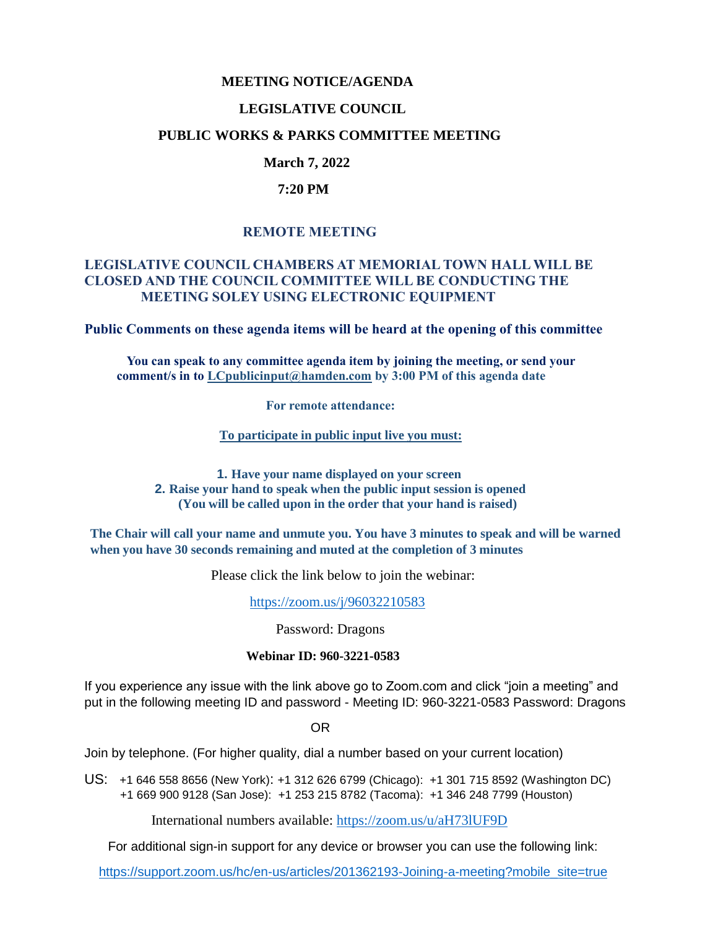#### **MEETING NOTICE/AGENDA**

#### **LEGISLATIVE COUNCIL**

#### **PUBLIC WORKS & PARKS COMMITTEE MEETING**

## **March 7, 2022**

#### **7:20 PM**

## **REMOTE MEETING**

### **LEGISLATIVE COUNCIL CHAMBERS AT MEMORIAL TOWN HALL WILL BE CLOSED AND THE COUNCIL COMMITTEE WILL BE CONDUCTING THE MEETING SOLEY USING ELECTRONIC EQUIPMENT**

**Public Comments on these agenda items will be heard at the opening of this committee** 

 **You can speak to any committee agenda item by joining the meeting, or send your comment/s in to [LCpublicinput@hamden.com](mailto:LCpublicinput@hamden.com) by 3:00 PM of this agenda date**

 **For remote attendance:**

**To participate in public input live you must:**

**1. Have your name displayed on your screen 2. Raise your hand to speak when the public input session is opened (You will be called upon in the order that your hand is raised)**

**The Chair will call your name and unmute you. You have 3 minutes to speak and will be warned when you have 30 seconds remaining and muted at the completion of 3 minutes**

Please click the link below to join the webinar:

<https://zoom.us/j/96032210583>

Password: Dragons

#### **Webinar ID: 960-3221-0583**

If you experience any issue with the link above go to Zoom.com and click "join a meeting" and put in the following meeting ID and password - Meeting ID: 960-3221-0583 Password: Dragons

OR

Join by telephone. (For higher quality, dial a number based on your current location)

US: [+1 646 558 8656 \(New York\)](tel:+16465588656): [+1 312 626 6799 \(Chicago\):](tel:+13126266799) [+1 301 715 8592 \(Washington DC\)](tel:+13017158592) +1 669 900 9128 (San Jose): [+1 253 215 8782 \(Tacoma\):](tel:+12532158782) [+1 346 248 7799 \(Houston\)](tel:+13462487799)

International numbers available:<https://zoom.us/u/aH73lUF9D>

For additional sign-in support for any device or browser you can use the following link:

[https://support.zoom.us/hc/en-us/articles/201362193-Joining-a-meeting?mobile\\_site=true](https://support.zoom.us/hc/en-us/articles/201362193-Joining-a-meeting?mobile_site=true)